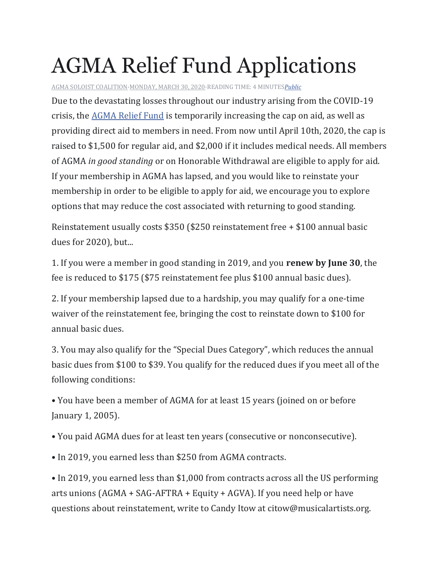## AGMA Relief Fund Applications

[AGMA SOLOIST COALITION·](https://www.facebook.com/agmasoloistcoalition/)[MONDAY, MARCH 30, 2020·](https://www.facebook.com/notes/agma-soloist-coalition/agma-relief-fund-applications/115068456806153/)READING TIME: 4 MINUTES*[Public](https://www.facebook.com/notes/agma-soloist-coalition/agma-relief-fund-applications/115068456806153/)*

Due to the devastating losses throughout our industry arising from the COVID-19 crisis, the [AGMA Relief Fund](https://agmarelief.org/) is temporarily increasing the cap on aid, as well as providing direct aid to members in need. From now until April 10th, 2020, the cap is raised to \$1,500 for regular aid, and \$2,000 if it includes medical needs. All members of AGMA *in good standing* or on Honorable Withdrawal are eligible to apply for aid. If your membership in AGMA has lapsed, and you would like to reinstate your membership in order to be eligible to apply for aid, we encourage you to explore options that may reduce the cost associated with returning to good standing.

Reinstatement usually costs \$350 (\$250 reinstatement free + \$100 annual basic dues for 2020), but...

1. If you were a member in good standing in 2019, and you **renew by June 30**, the fee is reduced to \$175 (\$75 reinstatement fee plus \$100 annual basic dues).

2. If your membership lapsed due to a hardship, you may qualify for a one-time waiver of the reinstatement fee, bringing the cost to reinstate down to \$100 for annual basic dues.

3. You may also qualify for the "Special Dues Category", which reduces the annual basic dues from \$100 to \$39. You qualify for the reduced dues if you meet all of the following conditions:

• You have been a member of AGMA for at least 15 years (joined on or before January 1, 2005).

• You paid AGMA dues for at least ten years (consecutive or nonconsecutive).

• In 2019, you earned less than \$250 from AGMA contracts.

• In 2019, you earned less than \$1,000 from contracts across all the US performing arts unions (AGMA + SAG-AFTRA + Equity + AGVA). If you need help or have questions about reinstatement, write to Candy Itow at citow@musicalartists.org.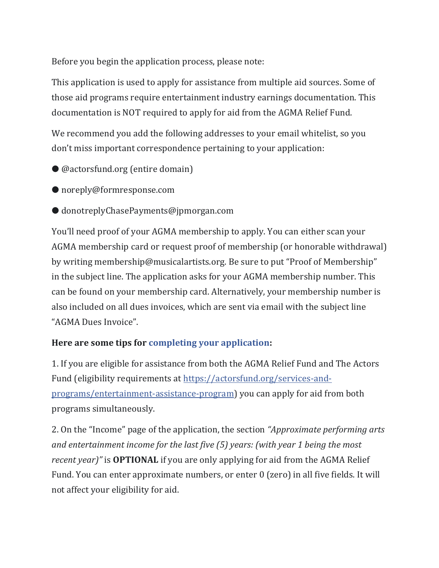Before you begin the application process, please note:

This application is used to apply for assistance from multiple aid sources. Some of those aid programs require entertainment industry earnings documentation. This documentation is NOT required to apply for aid from the AGMA Relief Fund.

We recommend you add the following addresses to your email whitelist, so you don't miss important correspondence pertaining to your application:

- @actorsfund.org (entire domain)
- noreply@formresponse.com
- donotreplyChasePayments@jpmorgan.com

You'll need proof of your AGMA membership to apply. You can either scan your AGMA membership card or request proof of membership (or honorable withdrawal) by writing membership@musicalartists.org. Be sure to put "Proof of Membership" in the subject line. The application asks for your AGMA membership number. This can be found on your membership card. Alternatively, your membership number is also included on all dues invoices, which are sent via email with the subject line "AGMA Dues Invoice".

## **Here are some tips for [completing your application:](https://l.facebook.com/l.php?u=https%3A%2F%2Factorsfund.jotform.com%2F200766730518860&h=AT1QTTTRc8nrnbfhBLZzqs6YVrZ5A7ocC0j_3nG8FxpU620vnBWwXiGq0D9JRfpEVqRUyr07WUJoL64tfbS7US1In619pqddEGxQeMJnbrK5U9y1BSKsJgZQu7VRFfrc1KpwHywNloOa2DP9u_T-cQ)**

1. If you are eligible for assistance from both the AGMA Relief Fund and The Actors Fund (eligibility requirements at [https://actorsfund.org/services-and](https://actorsfund.org/services-and-programs/entertainment-assistance-program)[programs/entertainment-assistance-program\)](https://actorsfund.org/services-and-programs/entertainment-assistance-program) you can apply for aid from both programs simultaneously.

2. On the "Income" page of the application, the section *"Approximate performing arts and entertainment income for the last five (5) years: (with year 1 being the most recent year)"* is **OPTIONAL** if you are only applying for aid from the AGMA Relief Fund. You can enter approximate numbers, or enter 0 (zero) in all five fields. It will not affect your eligibility for aid.